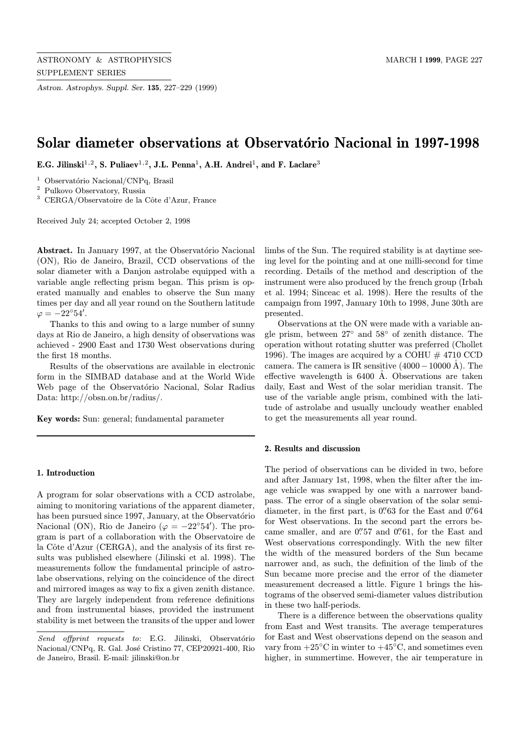Astron. Astrophys. Suppl. Ser. 135, 227–229 (1999)

# Solar diameter observations at Observatório Nacional in 1997-1998

E.G. Jilinski<sup>1,2</sup>, S. Puliaev<sup>1,2</sup>, J.L. Penna<sup>1</sup>, A.H. Andrei<sup>1</sup>, and F. Laclare<sup>3</sup>

<sup>1</sup> Observatório Nacional/CNPq, Brasil

<sup>2</sup> Pulkovo Observatory, Russia

 $3$  CERGA/Observatoire de la Côte d'Azur, France

Received July 24; accepted October 2, 1998

Abstract. In January 1997, at the Observatório Nacional (ON), Rio de Janeiro, Brazil, CCD observations of the solar diameter with a Danjon astrolabe equipped with a variable angle reflecting prism began. This prism is operated manually and enables to observe the Sun many times per day and all year round on the Southern latitude  $\varphi = -22^{\circ}54'.$ 

Thanks to this and owing to a large number of sunny days at Rio de Janeiro, a high density of observations was achieved - 2900 East and 1730 West observations during the first 18 months.

Results of the observations are available in electronic form in the SIMBAD database and at the World Wide Web page of the Observatório Nacional, Solar Radius Data: http://obsn.on.br/radius/.

Key words: Sun: general; fundamental parameter

## 1. Introduction

A program for solar observations with a CCD astrolabe, aiming to monitoring variations of the apparent diameter, has been pursued since 1997, January, at the Observatorio Nacional (ON), Rio de Janeiro ( $\varphi = -22^{\circ}54'$ ). The program is part of a collaboration with the Observatoire de la Côte d'Azur (CERGA), and the analysis of its first results was published elsewhere (Jilinski et al. 1998). The measurements follow the fundamental principle of astrolabe observations, relying on the coincidence of the direct and mirrored images as way to fix a given zenith distance. They are largely independent from reference definitions and from instrumental biases, provided the instrument stability is met between the transits of the upper and lower

limbs of the Sun. The required stability is at daytime seeing level for the pointing and at one milli-second for time recording. Details of the method and description of the instrument were also produced by the french group (Irbah et al. 1994; Sinceac et al. 1998). Here the results of the campaign from 1997, January 10th to 1998, June 30th are presented.

Observations at the ON were made with a variable angle prism, between 27◦ and 58◦ of zenith distance. The operation without rotating shutter was preferred (Chollet 1996). The images are acquired by a COHU  $\#$  4710 CCD camera. The camera is IR sensitive  $(4000-10000 \text{ Å})$ . The effective wavelength is  $6400$  Å. Observations are taken daily, East and West of the solar meridian transit. The use of the variable angle prism, combined with the latitude of astrolabe and usually uncloudy weather enabled to get the measurements all year round.

## 2. Results and discussion

The period of observations can be divided in two, before and after January 1st, 1998, when the filter after the image vehicle was swapped by one with a narrower bandpass. The error of a single observation of the solar semidiameter, in the first part, is  $0\rlap.{''}63$  for the East and  $0\rlap.{''}64$ for West observations. In the second part the errors became smaller, and are  $0.^{\prime\prime}57$  and  $0.^{\prime\prime}61$ , for the East and West observations correspondingly. With the new filter the width of the measured borders of the Sun became narrower and, as such, the definition of the limb of the Sun became more precise and the error of the diameter measurement decreased a little. Figure 1 brings the histograms of the observed semi-diameter values distribution in these two half-periods.

There is a difference between the observations quality from East and West transits. The average temperatures for East and West observations depend on the season and vary from  $+25\degree C$  in winter to  $+45\degree C$ , and sometimes even higher, in summertime. However, the air temperature in

Send offprint requests to: E.G. Jilinski, Observatório Nacional/CNPq, R. Gal. José Cristino 77, CEP20921-400, Rio de Janeiro, Brasil. E-mail: jilinski@on.br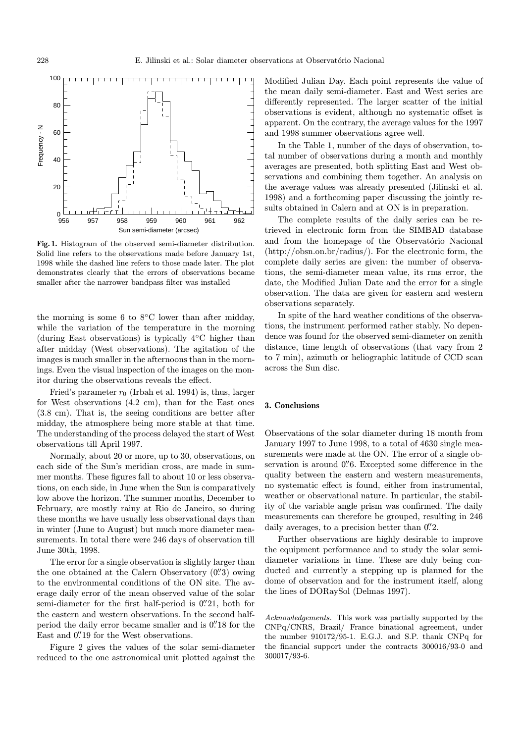

Fig. 1. Histogram of the observed semi-diameter distribution. Solid line refers to the observations made before January 1st, 1998 while the dashed line refers to those made later. The plot demonstrates clearly that the errors of observations became smaller after the narrower bandpass filter was installed

the morning is some 6 to  $8°C$  lower than after midday, while the variation of the temperature in the morning (during East observations) is typically 4◦C higher than after midday (West observations). The agitation of the images is much smaller in the afternoons than in the mornings. Even the visual inspection of the images on the monitor during the observations reveals the effect.

Fried's parameter  $r_0$  (Irbah et al. 1994) is, thus, larger for West observations (4.2 cm), than for the East ones (3.8 cm). That is, the seeing conditions are better after midday, the atmosphere being more stable at that time. The understanding of the process delayed the start of West observations till April 1997.

Normally, about 20 or more, up to 30, observations, on each side of the Sun's meridian cross, are made in summer months. These figures fall to about 10 or less observations, on each side, in June when the Sun is comparatively low above the horizon. The summer months, December to February, are mostly rainy at Rio de Janeiro, so during these months we have usually less observational days than in winter (June to August) but much more diameter measurements. In total there were 246 days of observation till June 30th, 1998.

The error for a single observation is slightly larger than the one obtained at the Calern Observatory  $(0\rlap{.}^{\prime\prime}3)$  owing to the environmental conditions of the ON site. The average daily error of the mean observed value of the solar semi-diameter for the first half-period is  $0''21$ , both for the eastern and western observations. In the second halfperiod the daily error became smaller and is  $0\rlap{.}^{\prime\prime}18$  for the East and  $0\rlap.{''}19$  for the West observations.

Figure 2 gives the values of the solar semi-diameter reduced to the one astronomical unit plotted against the

Modified Julian Day. Each point represents the value of the mean daily semi-diameter. East and West series are differently represented. The larger scatter of the initial observations is evident, although no systematic offset is apparent. On the contrary, the average values for the 1997 and 1998 summer observations agree well.

In the Table 1, number of the days of observation, total number of observations during a month and monthly averages are presented, both splitting East and West observations and combining them together. An analysis on the average values was already presented (Jilinski et al. 1998) and a forthcoming paper discussing the jointly results obtained in Calern and at ON is in preparation.

The complete results of the daily series can be retrieved in electronic form from the SIMBAD database and from the homepage of the Observatório Nacional (http://obsn.on.br/radius/). For the electronic form, the complete daily series are given: the number of observations, the semi-diameter mean value, its rms error, the date, the Modified Julian Date and the error for a single observation. The data are given for eastern and western observations separately.

In spite of the hard weather conditions of the observations, the instrument performed rather stably. No dependence was found for the observed semi-diameter on zenith distance, time length of observations (that vary from 2 to 7 min), azimuth or heliographic latitude of CCD scan across the Sun disc.

#### 3. Conclusions

Observations of the solar diameter during 18 month from January 1997 to June 1998, to a total of 4630 single measurements were made at the ON. The error of a single observation is around  $0\rlap.{''}6$ . Excepted some difference in the quality between the eastern and western measurements, no systematic effect is found, either from instrumental, weather or observational nature. In particular, the stability of the variable angle prism was confirmed. The daily measurements can therefore be grouped, resulting in 246 daily averages, to a precision better than  $0\rlap{.}^{\prime\prime}2$ .

Further observations are highly desirable to improve the equipment performance and to study the solar semidiameter variations in time. These are duly being conducted and currently a stepping up is planned for the dome of observation and for the instrument itself, along the lines of DORaySol (Delmas 1997).

Acknowledgements. This work was partially supported by the CNPq/CNRS, Brazil/ France binational agreement, under the number 910172/95-1. E.G.J. and S.P. thank CNPq for the financial support under the contracts 300016/93-0 and 300017/93-6.